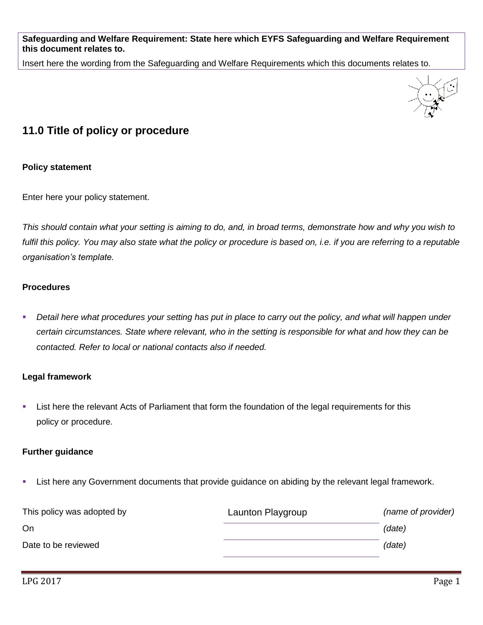**Safeguarding and Welfare Requirement: State here which EYFS Safeguarding and Welfare Requirement this document relates to.**

Insert here the wording from the Safeguarding and Welfare Requirements which this documents relates to.



# **11.0 Title of policy or procedure**

## **Policy statement**

Enter here your policy statement.

*This should contain what your setting is aiming to do, and, in broad terms, demonstrate how and why you wish to fulfil this policy. You may also state what the policy or procedure is based on, i.e. if you are referring to a reputable organisation's template.*

## **Procedures**

**Detail here what procedures your setting has put in place to carry out the policy, and what will happen under** *certain circumstances. State where relevant, who in the setting is responsible for what and how they can be contacted. Refer to local or national contacts also if needed.*

### **Legal framework**

**EXTE:** List here the relevant Acts of Parliament that form the foundation of the legal requirements for this policy or procedure.

### **Further guidance**

**EXT** List here any Government documents that provide guidance on abiding by the relevant legal framework.

| This policy was adopted by | Launton Playgroup | (name of provider) |
|----------------------------|-------------------|--------------------|
| On                         |                   | (date)             |
| Date to be reviewed        |                   | (date)             |